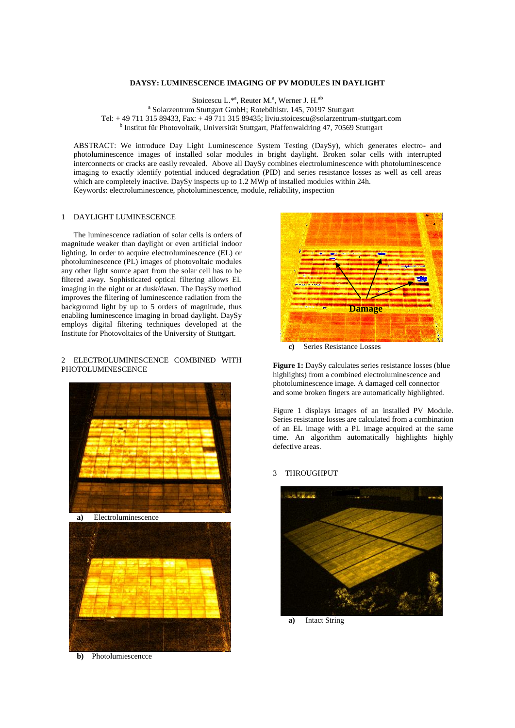## **DAYSY: LUMINESCENCE IMAGING OF PV MODULES IN DAYLIGHT**

Stoicescu L.\*<sup>a</sup>, Reuter M.<sup>a</sup>, Werner J. H.<sup>ab</sup> a Solarzentrum Stuttgart GmbH; Rotebühlstr. 145, 70197 Stuttgart Tel: + 49 711 315 89433, Fax: + 49 711 315 89435; liviu.stoicescu@solarzentrum-stuttgart.com <sup>b</sup> Institut für Photovoltaik, Universität Stuttgart, Pfaffenwaldring 47, 70569 Stuttgart

ABSTRACT: We introduce Day Light Luminescence System Testing (DaySy), which generates electro- and photoluminescence images of installed solar modules in bright daylight. Broken solar cells with interrupted interconnects or cracks are easily revealed. Above all DaySy combines electroluminescence with photoluminescence imaging to exactly identify potential induced degradation (PID) and series resistance losses as well as cell areas which are completely inactive. DaySy inspects up to 1.2 MWp of installed modules within 24h. Keywords: electroluminescence, photoluminescence, module, reliability, inspection

# 1 DAYLIGHT LUMINESCENCE

The luminescence radiation of solar cells is orders of magnitude weaker than daylight or even artificial indoor lighting. In order to acquire electroluminescence (EL) or photoluminescence (PL) images of photovoltaic modules any other light source apart from the solar cell has to be filtered away. Sophisticated optical filtering allows EL imaging in the night or at dusk/dawn. The DaySy method improves the filtering of luminescence radiation from the background light by up to 5 orders of magnitude, thus enabling luminescence imaging in broad daylight. DaySy employs digital filtering techniques developed at the Institute for Photovoltaics of the University of Stuttgart.

# 2 ELECTROLUMINESCENCE COMBINED WITH PHOTOLUMINESCENCE







**b)** Photolumiescencce



**c)** Series Resistance Losses

**Figure 1:** DaySy calculates series resistance losses (blue highlights) from a combined electroluminescence and photoluminescence image. A damaged cell connector and some broken fingers are automatically highlighted.

Figure 1 displays images of an installed PV Module. Series resistance losses are calculated from a combination of an EL image with a PL image acquired at the same time. An algorithm automatically highlights highly defective areas.

#### 3 THROUGHPUT



**a)** Intact String